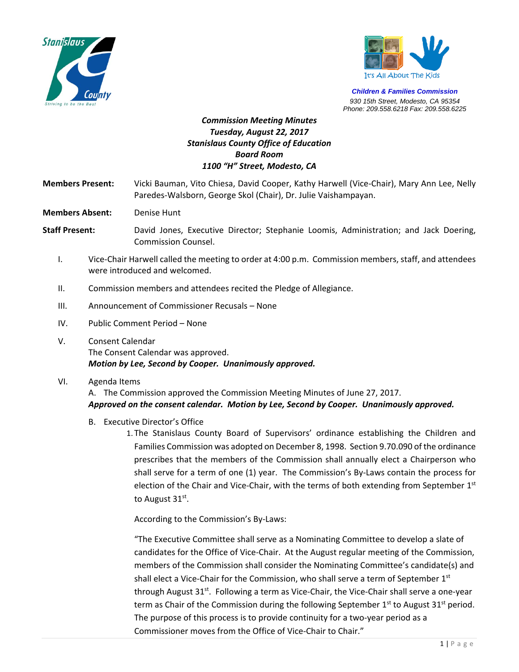



*Children & Families Commission 930 15th Street, Modesto, CA 95354 Phone: 209.558.6218 Fax: 209.558.6225*

## *Commission Meeting Minutes Tuesday, August 22, 2017 Stanislaus County Office of Education Board Room 1100 "H" Street, Modesto, CA*

**Members Present:**  Vicki Bauman, Vito Chiesa, David Cooper, Kathy Harwell (Vice‐Chair), Mary Ann Lee, Nelly Paredes‐Walsborn, George Skol (Chair), Dr. Julie Vaishampayan.

**Members Absent:** Denise Hunt

**Staff Present:** David Jones, Executive Director; Stephanie Loomis, Administration; and Jack Doering, Commission Counsel.

- I. Vice‐Chair Harwell called the meeting to order at 4:00 p.m. Commission members, staff, and attendees were introduced and welcomed.
- II. Commission members and attendees recited the Pledge of Allegiance.
- III. Announcement of Commissioner Recusals None
- IV. Public Comment Period None
- V. Consent Calendar The Consent Calendar was approved. *Motion by Lee, Second by Cooper. Unanimously approved.*
- VI. Agenda Items

A. The Commission approved the Commission Meeting Minutes of June 27, 2017. *Approved on the consent calendar. Motion by Lee, Second by Cooper. Unanimously approved.* 

- B. Executive Director's Office
	- 1. The Stanislaus County Board of Supervisors' ordinance establishing the Children and Families Commission was adopted on December 8, 1998. Section 9.70.090 of the ordinance prescribes that the members of the Commission shall annually elect a Chairperson who shall serve for a term of one (1) year. The Commission's By-Laws contain the process for election of the Chair and Vice-Chair, with the terms of both extending from September 1<sup>st</sup> to August 31<sup>st</sup>.

According to the Commission's By‐Laws:

"The Executive Committee shall serve as a Nominating Committee to develop a slate of candidates for the Office of Vice‐Chair. At the August regular meeting of the Commission, members of the Commission shall consider the Nominating Committee's candidate(s) and shall elect a Vice-Chair for the Commission, who shall serve a term of September 1<sup>st</sup> through August 31<sup>st</sup>. Following a term as Vice-Chair, the Vice-Chair shall serve a one-year term as Chair of the Commission during the following September  $1<sup>st</sup>$  to August 31<sup>st</sup> period. The purpose of this process is to provide continuity for a two-year period as a Commissioner moves from the Office of Vice‐Chair to Chair."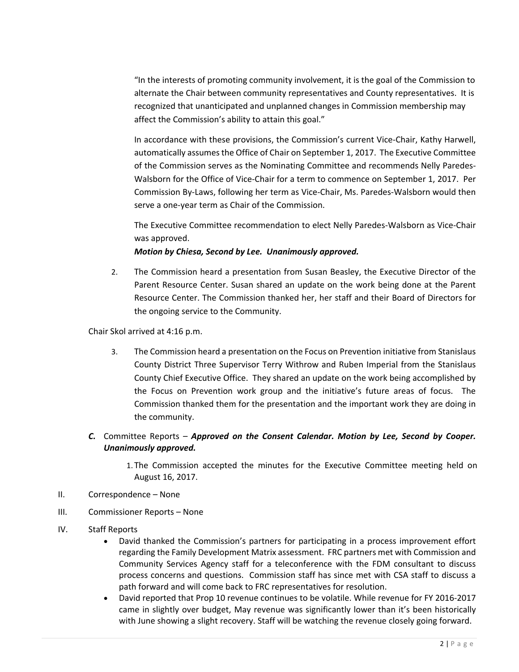"In the interests of promoting community involvement, it is the goal of the Commission to alternate the Chair between community representatives and County representatives. It is recognized that unanticipated and unplanned changes in Commission membership may affect the Commission's ability to attain this goal."

In accordance with these provisions, the Commission's current Vice-Chair, Kathy Harwell, automatically assumes the Office of Chair on September 1, 2017. The Executive Committee of the Commission serves as the Nominating Committee and recommends Nelly Paredes‐ Walsborn for the Office of Vice-Chair for a term to commence on September 1, 2017. Per Commission By‐Laws, following her term as Vice‐Chair, Ms. Paredes‐Walsborn would then serve a one‐year term as Chair of the Commission.

The Executive Committee recommendation to elect Nelly Paredes‐Walsborn as Vice‐Chair was approved.

*Motion by Chiesa, Second by Lee. Unanimously approved.*

2. The Commission heard a presentation from Susan Beasley, the Executive Director of the Parent Resource Center. Susan shared an update on the work being done at the Parent Resource Center. The Commission thanked her, her staff and their Board of Directors for the ongoing service to the Community.

Chair Skol arrived at 4:16 p.m.

- 3. The Commission heard a presentation on the Focus on Prevention initiative from Stanislaus County District Three Supervisor Terry Withrow and Ruben Imperial from the Stanislaus County Chief Executive Office. They shared an update on the work being accomplished by the Focus on Prevention work group and the initiative's future areas of focus. The Commission thanked them for the presentation and the important work they are doing in the community.
- *C.* Committee Reports *Approved on the Consent Calendar. Motion by Lee, Second by Cooper. Unanimously approved.* 
	- 1. The Commission accepted the minutes for the Executive Committee meeting held on August 16, 2017.
- II. Correspondence None
- III. Commissioner Reports None
- IV. Staff Reports
	- David thanked the Commission's partners for participating in a process improvement effort regarding the Family Development Matrix assessment. FRC partners met with Commission and Community Services Agency staff for a teleconference with the FDM consultant to discuss process concerns and questions. Commission staff has since met with CSA staff to discuss a path forward and will come back to FRC representatives for resolution.
	- David reported that Prop 10 revenue continues to be volatile. While revenue for FY 2016‐2017 came in slightly over budget, May revenue was significantly lower than it's been historically with June showing a slight recovery. Staff will be watching the revenue closely going forward.